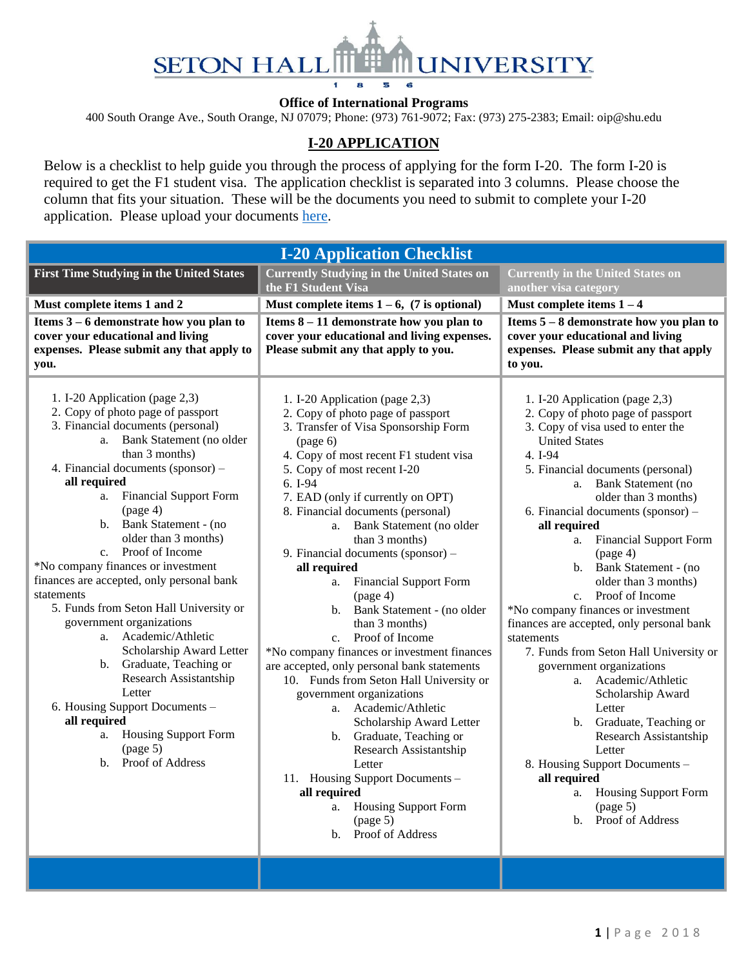

#### **Office of International Programs**

400 South Orange Ave., South Orange, NJ 07079; Phone: (973) 761-9072; Fax: (973) 275-2383; Email: oip@shu.edu

### **I-20 APPLICATION**

Below is a checklist to help guide you through the process of applying for the form I-20. The form I-20 is required to get the F1 student visa. The application checklist is separated into 3 columns. Please choose the column that fits your situation. These will be the documents you need to submit to complete your I-20 application. Please upload your documents [here.](http://setonhall.formstack.com/forms/oip_i20_application)

| <b>First Time Studying in the United States</b><br><b>Currently Studying in the United States on</b><br><b>Currently in the United States on</b><br>the F1 Student Visa<br>another visa category<br>Must complete items 1 and 2<br>Must complete items $1 - 6$ , (7 is optional)<br>Must complete items $1 - 4$<br>Items 3 – 6 demonstrate how you plan to<br>Items 8 - 11 demonstrate how you plan to<br>Items $5 - 8$ demonstrate how you plan to<br>cover your educational and living<br>cover your educational and living expenses.<br>cover your educational and living<br>expenses. Please submit any that apply to<br>Please submit any that apply to you.<br>expenses. Please submit any that apply<br>to you.<br>you.<br>1. I-20 Application (page 2,3)<br>1. I-20 Application (page 2,3)<br>1. I-20 Application (page 2,3)<br>2. Copy of photo page of passport<br>2. Copy of photo page of passport<br>2. Copy of photo page of passport<br>3. Financial documents (personal)<br>3. Transfer of Visa Sponsorship Form<br>3. Copy of visa used to enter the<br>a. Bank Statement (no older<br><b>United States</b><br>(page 6)<br>than 3 months)<br>4. Copy of most recent F1 student visa<br>4. I-94<br>4. Financial documents (sponsor) -<br>5. Copy of most recent I-20<br>5. Financial documents (personal)<br>all required<br>6. I-94<br><b>Bank Statement</b> (no<br>a.<br><b>Financial Support Form</b><br>a.<br>7. EAD (only if currently on OPT)<br>older than 3 months)<br>(page 4)<br>8. Financial documents (personal)<br>6. Financial documents (sponsor) -<br>b. Bank Statement - (no<br>a. Bank Statement (no older<br>all required<br>older than 3 months)<br>than 3 months)<br><b>Financial Support Form</b><br>a.<br>c. Proof of Income<br>9. Financial documents (sponsor) -<br>(page 4)<br>*No company finances or investment<br>b. Bank Statement - (no<br>all required<br>finances are accepted, only personal bank<br><b>Financial Support Form</b><br>older than 3 months)<br>a.<br>statements<br>Proof of Income<br>(page 4)<br>C <sub>1</sub><br>5. Funds from Seton Hall University or<br>b. Bank Statement - (no older<br>*No company finances or investment<br>government organizations<br>finances are accepted, only personal bank<br>than 3 months)<br>a. Academic/Athletic<br>c. Proof of Income<br>statements<br>Scholarship Award Letter<br>*No company finances or investment finances<br>7. Funds from Seton Hall University or<br>b. Graduate, Teaching or<br>are accepted, only personal bank statements<br>government organizations<br>Research Assistantship<br>10. Funds from Seton Hall University or<br>a. Academic/Athletic<br>Letter<br>government organizations<br>Scholarship Award<br>6. Housing Support Documents -<br>a. Academic/Athletic<br>Letter<br>all required<br>Graduate, Teaching or<br>Scholarship Award Letter<br>b.<br><b>Housing Support Form</b><br>a.<br>b. Graduate, Teaching or<br>Research Assistantship<br>(page 5)<br>Research Assistantship<br>Letter<br>Proof of Address<br>$\mathbf{b}$ .<br>Letter<br>8. Housing Support Documents -<br>11. Housing Support Documents -<br>all required<br><b>Housing Support Form</b><br>all required<br>a.<br>a. Housing Support Form<br>$\left(\text{page 5}\right)$<br>b. Proof of Address<br>$\frac{1}{2}$ (page 5)<br>Proof of Address<br>$\mathbf{b}$ . | <b>I-20 Application Checklist</b> |  |
|-------------------------------------------------------------------------------------------------------------------------------------------------------------------------------------------------------------------------------------------------------------------------------------------------------------------------------------------------------------------------------------------------------------------------------------------------------------------------------------------------------------------------------------------------------------------------------------------------------------------------------------------------------------------------------------------------------------------------------------------------------------------------------------------------------------------------------------------------------------------------------------------------------------------------------------------------------------------------------------------------------------------------------------------------------------------------------------------------------------------------------------------------------------------------------------------------------------------------------------------------------------------------------------------------------------------------------------------------------------------------------------------------------------------------------------------------------------------------------------------------------------------------------------------------------------------------------------------------------------------------------------------------------------------------------------------------------------------------------------------------------------------------------------------------------------------------------------------------------------------------------------------------------------------------------------------------------------------------------------------------------------------------------------------------------------------------------------------------------------------------------------------------------------------------------------------------------------------------------------------------------------------------------------------------------------------------------------------------------------------------------------------------------------------------------------------------------------------------------------------------------------------------------------------------------------------------------------------------------------------------------------------------------------------------------------------------------------------------------------------------------------------------------------------------------------------------------------------------------------------------------------------------------------------------------------------------------------------------------------------------------------------------------------------------------------------------------------------------------------------------------------------------------------------------------------------------------------------------------------------------------------------------------------------------------------------------------------------------------------------------------------|-----------------------------------|--|
|                                                                                                                                                                                                                                                                                                                                                                                                                                                                                                                                                                                                                                                                                                                                                                                                                                                                                                                                                                                                                                                                                                                                                                                                                                                                                                                                                                                                                                                                                                                                                                                                                                                                                                                                                                                                                                                                                                                                                                                                                                                                                                                                                                                                                                                                                                                                                                                                                                                                                                                                                                                                                                                                                                                                                                                                                                                                                                                                                                                                                                                                                                                                                                                                                                                                                                                                                                                     |                                   |  |
|                                                                                                                                                                                                                                                                                                                                                                                                                                                                                                                                                                                                                                                                                                                                                                                                                                                                                                                                                                                                                                                                                                                                                                                                                                                                                                                                                                                                                                                                                                                                                                                                                                                                                                                                                                                                                                                                                                                                                                                                                                                                                                                                                                                                                                                                                                                                                                                                                                                                                                                                                                                                                                                                                                                                                                                                                                                                                                                                                                                                                                                                                                                                                                                                                                                                                                                                                                                     |                                   |  |
|                                                                                                                                                                                                                                                                                                                                                                                                                                                                                                                                                                                                                                                                                                                                                                                                                                                                                                                                                                                                                                                                                                                                                                                                                                                                                                                                                                                                                                                                                                                                                                                                                                                                                                                                                                                                                                                                                                                                                                                                                                                                                                                                                                                                                                                                                                                                                                                                                                                                                                                                                                                                                                                                                                                                                                                                                                                                                                                                                                                                                                                                                                                                                                                                                                                                                                                                                                                     |                                   |  |
|                                                                                                                                                                                                                                                                                                                                                                                                                                                                                                                                                                                                                                                                                                                                                                                                                                                                                                                                                                                                                                                                                                                                                                                                                                                                                                                                                                                                                                                                                                                                                                                                                                                                                                                                                                                                                                                                                                                                                                                                                                                                                                                                                                                                                                                                                                                                                                                                                                                                                                                                                                                                                                                                                                                                                                                                                                                                                                                                                                                                                                                                                                                                                                                                                                                                                                                                                                                     |                                   |  |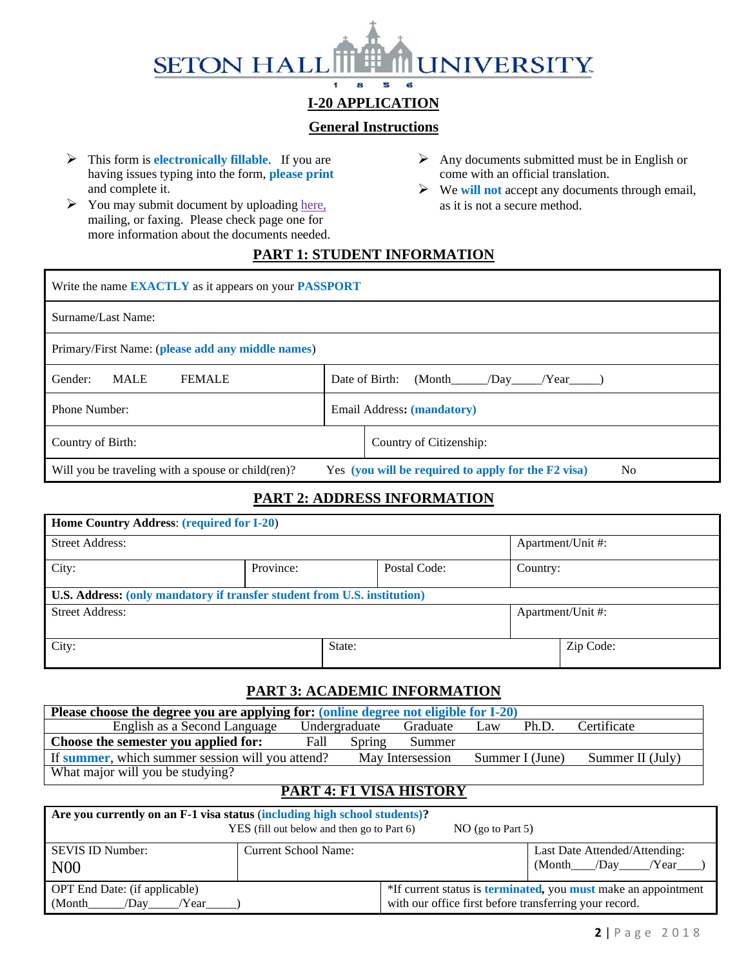#### **SETON HALI UNIVERSITY** Ŧ 8 6 5

# **I-20 APPLICATION**

# **General Instructions**

- ➢ This form is **electronically fillable**. If you are having issues typing into the form, **please print** and complete it.
- $\triangleright$  You may submit document by uploadin[g here,](http://setonhall.formstack.com/forms/oip_i20_application) mailing, or faxing. Please check page one for more information about the documents needed.
- $\triangleright$  Any documents submitted must be in English or come with an official translation.
- ➢ We **will not** accept any documents through email, as it is not a secure method.

# **PART 1: STUDENT INFORMATION**

| Write the name <b>EXACTLY</b> as it appears on your <b>PASSPORT</b>                                                         |                                          |  |  |  |  |  |
|-----------------------------------------------------------------------------------------------------------------------------|------------------------------------------|--|--|--|--|--|
| Surname/Last Name:                                                                                                          |                                          |  |  |  |  |  |
| Primary/First Name: (please add any middle names)                                                                           |                                          |  |  |  |  |  |
| <b>MALE</b><br>Gender:<br><b>FEMALE</b>                                                                                     | Date of Birth:<br>(Month<br>/Day<br>Year |  |  |  |  |  |
| Phone Number:<br>Email Address: (mandatory)                                                                                 |                                          |  |  |  |  |  |
| Country of Birth:<br>Country of Citizenship:                                                                                |                                          |  |  |  |  |  |
| Will you be traveling with a spouse or child(ren)?<br>Yes (you will be required to apply for the F2 visa)<br>N <sub>0</sub> |                                          |  |  |  |  |  |

# **PART 2: ADDRESS INFORMATION**

| Home Country Address: (required for I-20)                                |           |        |              |          |                   |  |  |
|--------------------------------------------------------------------------|-----------|--------|--------------|----------|-------------------|--|--|
| <b>Street Address:</b>                                                   |           |        |              |          | Apartment/Unit #: |  |  |
| City:                                                                    | Province: |        | Postal Code: | Country: |                   |  |  |
| U.S. Address: (only mandatory if transfer student from U.S. institution) |           |        |              |          |                   |  |  |
| <b>Street Address:</b><br>Apartment/Unit #:                              |           |        |              |          |                   |  |  |
| City:                                                                    |           | State: |              |          | Zip Code:         |  |  |

### **PART 3: ACADEMIC INFORMATION**

| Please choose the degree you are applying for: (online degree not eligible for I-20)                        |      |               |          |     |       |             |  |
|-------------------------------------------------------------------------------------------------------------|------|---------------|----------|-----|-------|-------------|--|
| English as a Second Language                                                                                |      | Undergraduate | Graduate | Law | Ph.D. | Certificate |  |
| Choose the semester you applied for:                                                                        | Fall | Spring        | Summer   |     |       |             |  |
| If summer, which summer session will you attend?<br>May Intersession<br>Summer I (June)<br>Summer II (July) |      |               |          |     |       |             |  |
| What major will you be studying?                                                                            |      |               |          |     |       |             |  |

### **PART 4: F1 VISA HISTORY**

| Are you currently on an F-1 visa status (including high school students)?<br>YES (fill out below and then go to Part 6)<br>$NO$ (go to Part 5) |                      |                                                        |                                                                               |  |  |  |
|------------------------------------------------------------------------------------------------------------------------------------------------|----------------------|--------------------------------------------------------|-------------------------------------------------------------------------------|--|--|--|
| <b>SEVIS ID Number:</b><br>N <sub>00</sub>                                                                                                     | Current School Name: |                                                        | Last Date Attended/Attending:<br>(Month /Day /Year                            |  |  |  |
| <b>OPT</b> End Date: (if applicable)<br>(Month)<br>/Day<br>/Year                                                                               |                      | with our office first before transferring your record. | *If current status is <b>terminated</b> , you <b>must</b> make an appointment |  |  |  |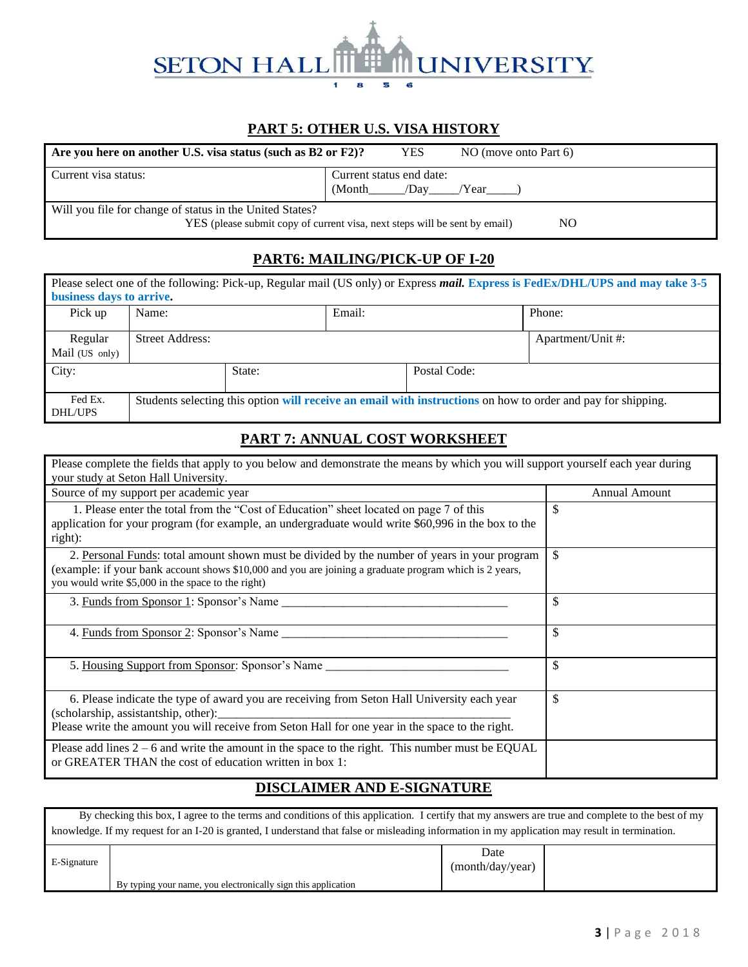# **SETON HAL INIVERSITY** 6

# **PART 5: OTHER U.S. VISA HISTORY**

| Are you here on another U.S. visa status (such as B2 or F2)?               |         | <b>YES</b>                             | $NO$ (move onto Part 6) |  |  |  |
|----------------------------------------------------------------------------|---------|----------------------------------------|-------------------------|--|--|--|
| Current visa status:                                                       | (Month) | Current status end date:<br>/Day /Year |                         |  |  |  |
| Will you file for change of status in the United States?                   |         |                                        |                         |  |  |  |
| YES (please submit copy of current visa, next steps will be sent by email) |         |                                        | NO                      |  |  |  |

**PART6: MAILING/PICK-UP OF I-20**

#### Please select one of the following: Pick-up, Regular mail (US only) or Express *mail.* **Express is FedEx/DHL/UPS and may take 3-5 business days to arrive.** Pick up Name: Email: Email: Phone: Phone: Regular Mail (US only) Street Address: Apartment/Unit #: City: State: State: Postal Code: Fed Ex. DHL/UPS Students selecting this option **will receive an email with instructions** on how to order and pay for shipping.

### **PART 7: ANNUAL COST WORKSHEET**

| Please complete the fields that apply to you below and demonstrate the means by which you will support yourself each year during                                                                                                                             |                      |  |  |  |
|--------------------------------------------------------------------------------------------------------------------------------------------------------------------------------------------------------------------------------------------------------------|----------------------|--|--|--|
| your study at Seton Hall University.                                                                                                                                                                                                                         |                      |  |  |  |
| Source of my support per academic year                                                                                                                                                                                                                       | <b>Annual Amount</b> |  |  |  |
| 1. Please enter the total from the "Cost of Education" sheet located on page 7 of this<br>application for your program (for example, an undergraduate would write \$60,996 in the box to the<br>right):                                                      | \$                   |  |  |  |
| 2. Personal Funds: total amount shown must be divided by the number of years in your program<br>(example: if your bank account shows \$10,000 and you are joining a graduate program which is 2 years,<br>you would write \$5,000 in the space to the right) |                      |  |  |  |
|                                                                                                                                                                                                                                                              | \$                   |  |  |  |
| 4. Funds from Sponsor 2: Sponsor's Name                                                                                                                                                                                                                      | \$                   |  |  |  |
| 5. Housing Support from Sponsor: Sponsor's Name                                                                                                                                                                                                              | \$                   |  |  |  |
| 6. Please indicate the type of award you are receiving from Seton Hall University each year<br>(scholarship, assistantship, other):<br>Please write the amount you will receive from Seton Hall for one year in the space to the right.                      | \$                   |  |  |  |
| Please add lines $2 - 6$ and write the amount in the space to the right. This number must be EQUAL<br>or GREATER THAN the cost of education written in box 1:                                                                                                |                      |  |  |  |

# **DISCLAIMER AND E-SIGNATURE**

 By checking this box, I agree to the terms and conditions of this application. I certify that my answers are true and complete to the best of my knowledge. If my request for an I-20 is granted, I understand that false or misleading information in my application may result in termination.

| E-Signature |                                                               | Date<br>(month/day/year) |  |
|-------------|---------------------------------------------------------------|--------------------------|--|
|             | By typing your name, you electronically sign this application |                          |  |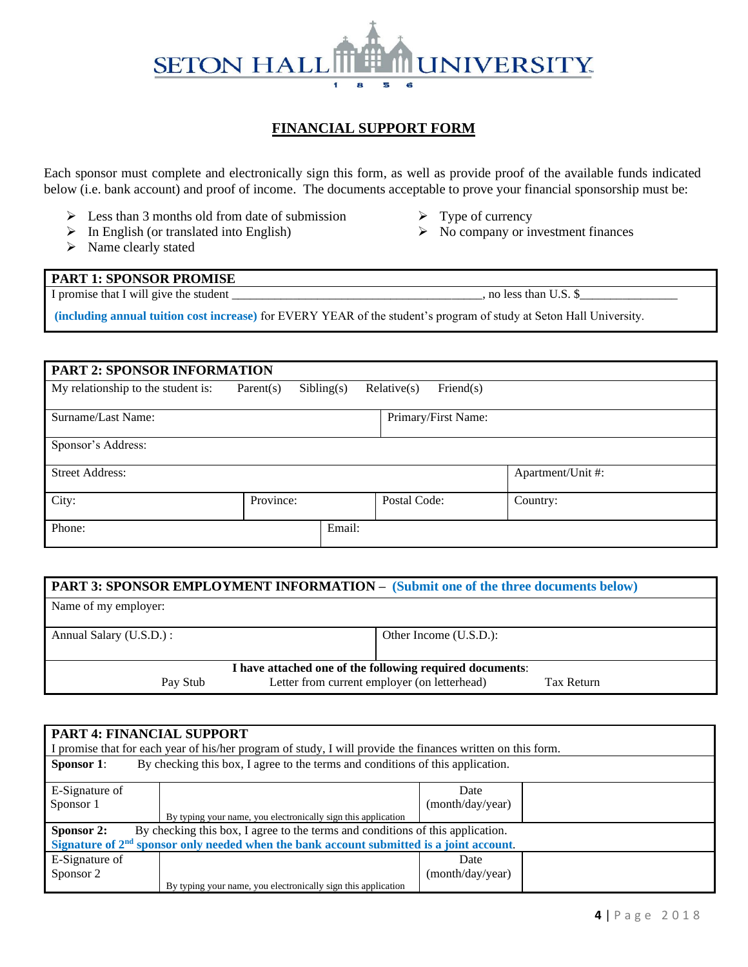#### **SETON HALI INIVERSITY** 1 a 5 6

# **FINANCIAL SUPPORT FORM**

Each sponsor must complete and electronically sign this form, as well as provide proof of the available funds indicated below (i.e. bank account) and proof of income. The documents acceptable to prove your financial sponsorship must be:

- $\triangleright$  Less than 3 months old from date of submission
- $\triangleright$  In English (or translated into English)
- ➢ Name clearly stated
- ➢ Type of currency
- $\triangleright$  No company or investment finances

#### **PART 1: SPONSOR PROMISE** I promise that I will give the student \_\_\_\_\_\_\_\_\_\_\_\_\_\_\_\_\_\_\_\_\_\_\_\_\_\_\_\_\_\_\_\_\_\_\_\_\_\_\_\_\_, no less than U.S. \$\_\_\_\_\_\_\_\_\_\_\_\_\_\_\_\_

**(including annual tuition cost increase)** for EVERY YEAR of the student's program of study at Seton Hall University.

| <b>PART 2: SPONSOR INFORMATION</b>          |           |            |              |                     |          |  |  |  |
|---------------------------------------------|-----------|------------|--------------|---------------------|----------|--|--|--|
| My relationship to the student is:          | Parent(s) | Sibling(s) | Relative(s)  | Friend $(s)$        |          |  |  |  |
| Surname/Last Name:                          |           |            |              | Primary/First Name: |          |  |  |  |
| Sponsor's Address:                          |           |            |              |                     |          |  |  |  |
| <b>Street Address:</b><br>Apartment/Unit #: |           |            |              |                     |          |  |  |  |
| City:                                       | Province: |            | Postal Code: |                     | Country: |  |  |  |
| Phone:                                      |           | Email:     |              |                     |          |  |  |  |

| <b>PART 3: SPONSOR EMPLOYMENT INFORMATION - (Submit one of the three documents below)</b> |  |                        |  |  |  |  |  |
|-------------------------------------------------------------------------------------------|--|------------------------|--|--|--|--|--|
| Name of my employer:                                                                      |  |                        |  |  |  |  |  |
| Annual Salary (U.S.D.) :                                                                  |  | Other Income (U.S.D.): |  |  |  |  |  |
| I have attached one of the following required documents:                                  |  |                        |  |  |  |  |  |
| Letter from current employer (on letterhead)<br><b>Tax Return</b><br>Pay Stub             |  |                        |  |  |  |  |  |

|                                                                                              | <b>PART 4: FINANCIAL SUPPORT</b><br>I promise that for each year of his/her program of study, I will provide the finances written on this form. |                  |  |  |  |  |  |  |
|----------------------------------------------------------------------------------------------|-------------------------------------------------------------------------------------------------------------------------------------------------|------------------|--|--|--|--|--|--|
| <b>Sponsor 1:</b>                                                                            | By checking this box, I agree to the terms and conditions of this application.                                                                  |                  |  |  |  |  |  |  |
| E-Signature of                                                                               |                                                                                                                                                 | Date             |  |  |  |  |  |  |
| Sponsor 1                                                                                    |                                                                                                                                                 | (month/day/year) |  |  |  |  |  |  |
|                                                                                              | By typing your name, you electronically sign this application                                                                                   |                  |  |  |  |  |  |  |
| Sponsor 2:<br>By checking this box, I agree to the terms and conditions of this application. |                                                                                                                                                 |                  |  |  |  |  |  |  |
| Signature of $2nd$ sponsor only needed when the bank account submitted is a joint account.   |                                                                                                                                                 |                  |  |  |  |  |  |  |
| E-Signature of                                                                               |                                                                                                                                                 | Date             |  |  |  |  |  |  |
| Sponsor 2                                                                                    |                                                                                                                                                 | (month/day/year) |  |  |  |  |  |  |
|                                                                                              | By typing your name, you electronically sign this application                                                                                   |                  |  |  |  |  |  |  |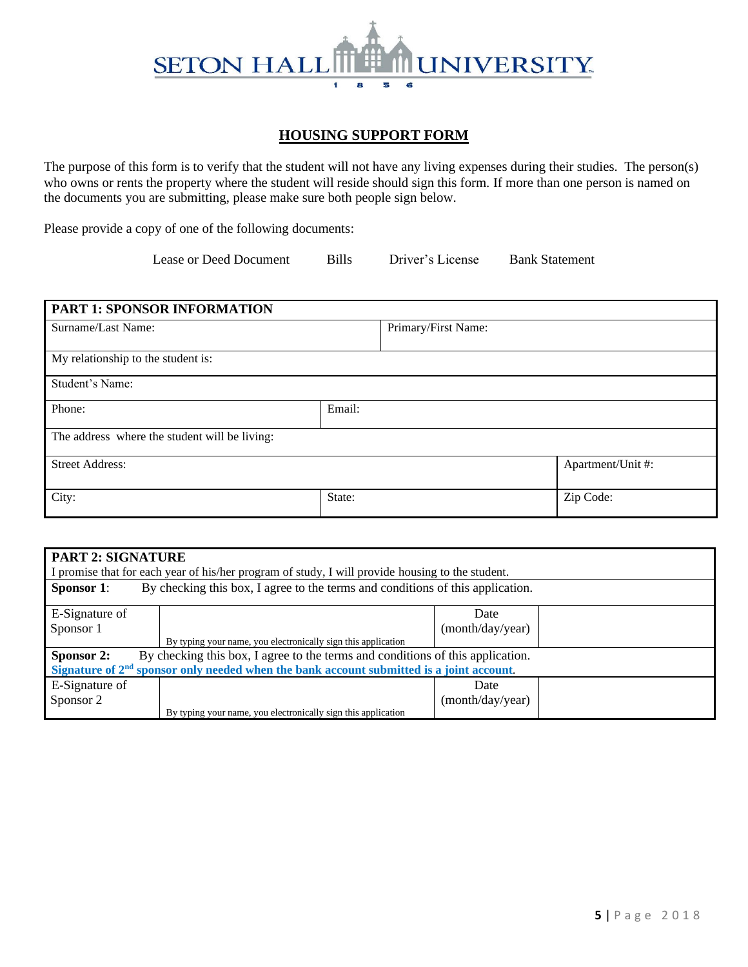#### **SETON HALI UNIVERSITY** 1 a 5 6

## **HOUSING SUPPORT FORM**

The purpose of this form is to verify that the student will not have any living expenses during their studies. The person(s) who owns or rents the property where the student will reside should sign this form. If more than one person is named on the documents you are submitting, please make sure both people sign below.

Please provide a copy of one of the following documents:

Lease or Deed Document Bills Driver's License Bank Statement

| PART 1: SPONSOR INFORMATION                   |        |                     |                   |  |  |  |
|-----------------------------------------------|--------|---------------------|-------------------|--|--|--|
| Surname/Last Name:                            |        | Primary/First Name: |                   |  |  |  |
| My relationship to the student is:            |        |                     |                   |  |  |  |
| Student's Name:                               |        |                     |                   |  |  |  |
| Phone:                                        | Email: |                     |                   |  |  |  |
| The address where the student will be living: |        |                     |                   |  |  |  |
| <b>Street Address:</b>                        |        |                     | Apartment/Unit #: |  |  |  |
| City:                                         | State: |                     | Zip Code:         |  |  |  |

| <b>PART 2: SIGNATURE</b> |                                                                                                  |                  |  |
|--------------------------|--------------------------------------------------------------------------------------------------|------------------|--|
|                          | I promise that for each year of his/her program of study, I will provide housing to the student. |                  |  |
| <b>Sponsor 1:</b>        | By checking this box, I agree to the terms and conditions of this application.                   |                  |  |
| E-Signature of           |                                                                                                  | Date             |  |
| Sponsor 1                |                                                                                                  | (month/day/year) |  |
|                          | By typing your name, you electronically sign this application                                    |                  |  |
| Sponsor 2:               | By checking this box, I agree to the terms and conditions of this application.                   |                  |  |
|                          | Signature of $2nd$ sponsor only needed when the bank account submitted is a joint account.       |                  |  |
| E-Signature of           |                                                                                                  | Date             |  |
| Sponsor 2                |                                                                                                  | (month/day/year) |  |
|                          | By typing your name, you electronically sign this application                                    |                  |  |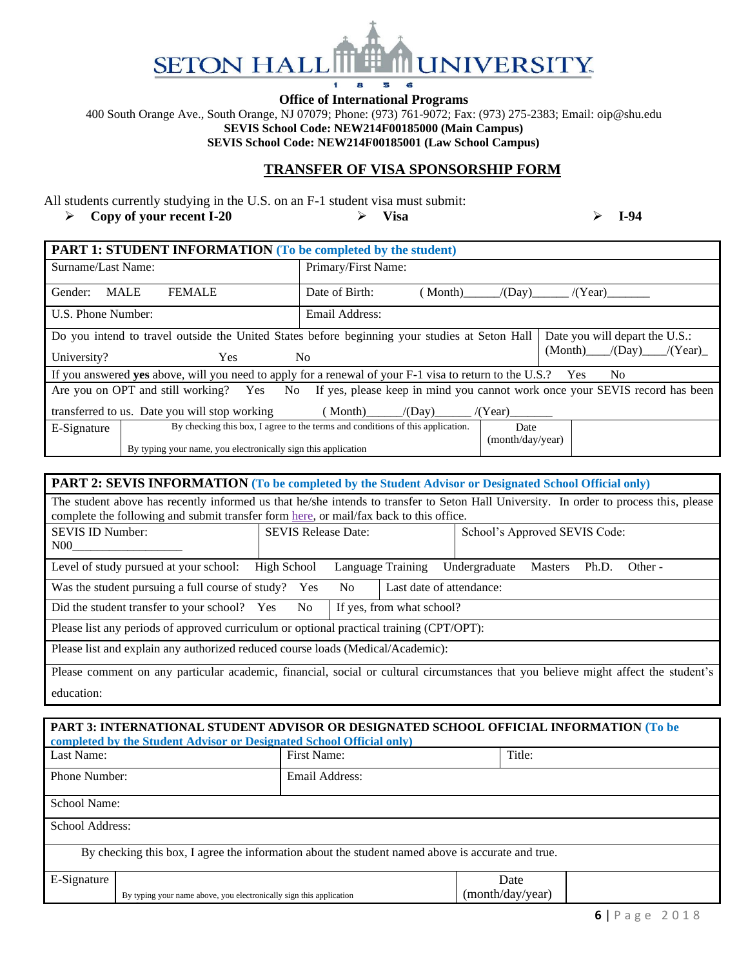#### **SETON HAI INIVERSITY** f 8 6 s

**Office of International Programs** 

400 South Orange Ave., South Orange, NJ 07079; Phone: (973) 761-9072; Fax: (973) 275-2383; Email: oip@shu.edu **SEVIS School Code: NEW214F00185000 (Main Campus)**

**SEVIS School Code: NEW214F00185001 (Law School Campus)**

#### **TRANSFER OF VISA SPONSORSHIP FORM**

All students currently studying in the U.S. on an F-1 student visa must submit:

➢ **Copy of your recent I-20** ➢ **Visa** ➢ **I-94**

| <b>PART 1: STUDENT INFORMATION (To be completed by the student)</b> |                                                                                                                                 |  |  |  |  |  |
|---------------------------------------------------------------------|---------------------------------------------------------------------------------------------------------------------------------|--|--|--|--|--|
| Surname/Last Name:                                                  | Primary/First Name:                                                                                                             |  |  |  |  |  |
| <b>MALE</b><br><b>FEMALE</b><br>Gender:                             | Date of Birth:<br>/(Day)<br>(Month)<br>/(Year)                                                                                  |  |  |  |  |  |
| U.S. Phone Number:                                                  | Email Address:                                                                                                                  |  |  |  |  |  |
|                                                                     | Do you intend to travel outside the United States before beginning your studies at Seton Hall<br>Date you will depart the U.S.: |  |  |  |  |  |
| University?<br>Yes.                                                 | $(Month)$ /(Day) /(Year)<br>N <sub>o</sub>                                                                                      |  |  |  |  |  |
|                                                                     | If you answered yes above, will you need to apply for a renewal of your F-1 visa to return to the U.S.? Yes<br>N <sub>0</sub>   |  |  |  |  |  |
|                                                                     | Are you on OPT and still working? Yes No If yes, please keep in mind you cannot work once your SEVIS record has been            |  |  |  |  |  |
| transferred to us. Date you will stop working                       | $(Month)$ $/(Day)$ $/(Year)$                                                                                                    |  |  |  |  |  |
| E-Signature                                                         | By checking this box, I agree to the terms and conditions of this application.<br>Date                                          |  |  |  |  |  |
| By typing your name, you electronically sign this application       | (month/day/year)                                                                                                                |  |  |  |  |  |

| PART 2: SEVIS INFORMATION (To be completed by the Student Advisor or Designated School Official only)                                                                                                                           |                            |  |                   |  |                               |                |       |         |
|---------------------------------------------------------------------------------------------------------------------------------------------------------------------------------------------------------------------------------|----------------------------|--|-------------------|--|-------------------------------|----------------|-------|---------|
| The student above has recently informed us that he/she intends to transfer to Seton Hall University. In order to process this, please<br>complete the following and submit transfer form here, or mail/fax back to this office. |                            |  |                   |  |                               |                |       |         |
| <b>SEVIS ID Number:</b><br>N00                                                                                                                                                                                                  | <b>SEVIS Release Date:</b> |  |                   |  | School's Approved SEVIS Code: |                |       |         |
| Level of study pursued at your school:                                                                                                                                                                                          | High School                |  | Language Training |  | Undergraduate                 | <b>Masters</b> | Ph.D. | Other - |
| Was the student pursuing a full course of study? Yes<br>Last date of attendance:<br>No.                                                                                                                                         |                            |  |                   |  |                               |                |       |         |
| If yes, from what school?<br>Did the student transfer to your school? Yes No                                                                                                                                                    |                            |  |                   |  |                               |                |       |         |
| Please list any periods of approved curriculum or optional practical training (CPT/OPT):                                                                                                                                        |                            |  |                   |  |                               |                |       |         |
| Please list and explain any authorized reduced course loads (Medical/Academic):                                                                                                                                                 |                            |  |                   |  |                               |                |       |         |
| Please comment on any particular academic, financial, social or cultural circumstances that you believe might affect the student's                                                                                              |                            |  |                   |  |                               |                |       |         |

education:

|                                                                     | completed by the Student Advisor or Designated School Official only) | PART 3: INTERNATIONAL STUDENT ADVISOR OR DESIGNATED SCHOOL OFFICIAL INFORMATION (To be            |        |  |
|---------------------------------------------------------------------|----------------------------------------------------------------------|---------------------------------------------------------------------------------------------------|--------|--|
| Last Name:                                                          |                                                                      | First Name:                                                                                       | Title: |  |
| Phone Number:                                                       |                                                                      | Email Address:                                                                                    |        |  |
| School Name:                                                        |                                                                      |                                                                                                   |        |  |
| School Address:                                                     |                                                                      |                                                                                                   |        |  |
|                                                                     |                                                                      | By checking this box, I agree the information about the student named above is accurate and true. |        |  |
| E-Signature                                                         |                                                                      |                                                                                                   | Date   |  |
| By typing your name above, you electronically sign this application |                                                                      | (month/day/year)                                                                                  |        |  |
|                                                                     |                                                                      |                                                                                                   |        |  |